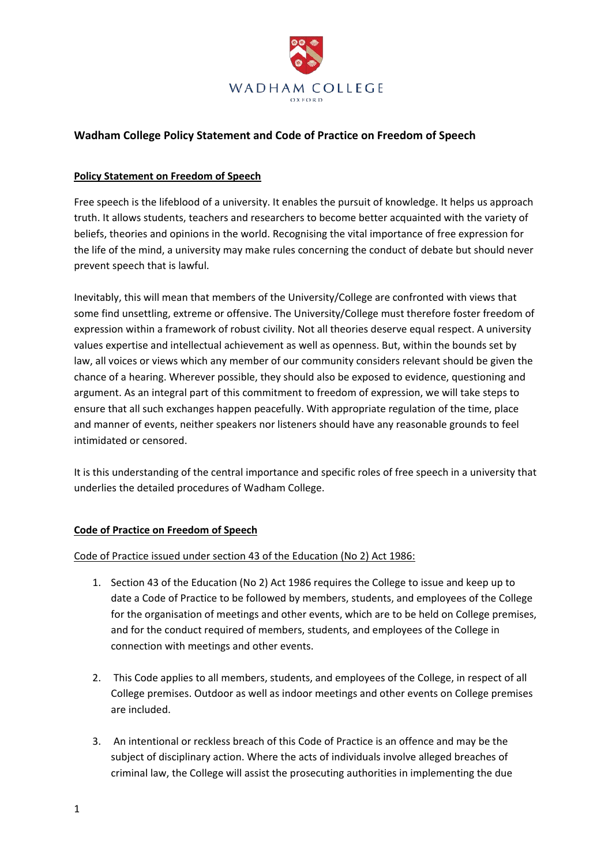

# **Wadham College Policy Statement and Code of Practice on Freedom of Speech**

#### **Policy Statement on Freedom of Speech**

Free speech is the lifeblood of a university. It enables the pursuit of knowledge. It helps us approach truth. It allows students, teachers and researchers to become better acquainted with the variety of beliefs, theories and opinions in the world. Recognising the vital importance of free expression for the life of the mind, a university may make rules concerning the conduct of debate but should never prevent speech that is lawful.

Inevitably, this will mean that members of the University/College are confronted with views that some find unsettling, extreme or offensive. The University/College must therefore foster freedom of expression within a framework of robust civility. Not all theories deserve equal respect. A university values expertise and intellectual achievement as well as openness. But, within the bounds set by law, all voices or views which any member of our community considers relevant should be given the chance of a hearing. Wherever possible, they should also be exposed to evidence, questioning and argument. As an integral part of this commitment to freedom of expression, we will take steps to ensure that all such exchanges happen peacefully. With appropriate regulation of the time, place and manner of events, neither speakers nor listeners should have any reasonable grounds to feel intimidated or censored.

It is this understanding of the central importance and specific roles of free speech in a university that underlies the detailed procedures of Wadham College.

# **Code of Practice on Freedom of Speech**

#### Code of Practice issued under section 43 of the Education (No 2) Act 1986:

- 1. Section 43 of the Education (No 2) Act 1986 requires the College to issue and keep up to date a Code of Practice to be followed by members, students, and employees of the College for the organisation of meetings and other events, which are to be held on College premises, and for the conduct required of members, students, and employees of the College in connection with meetings and other events.
- 2. This Code applies to all members, students, and employees of the College, in respect of all College premises. Outdoor as well as indoor meetings and other events on College premises are included.
- 3. An intentional or reckless breach of this Code of Practice is an offence and may be the subject of disciplinary action. Where the acts of individuals involve alleged breaches of criminal law, the College will assist the prosecuting authorities in implementing the due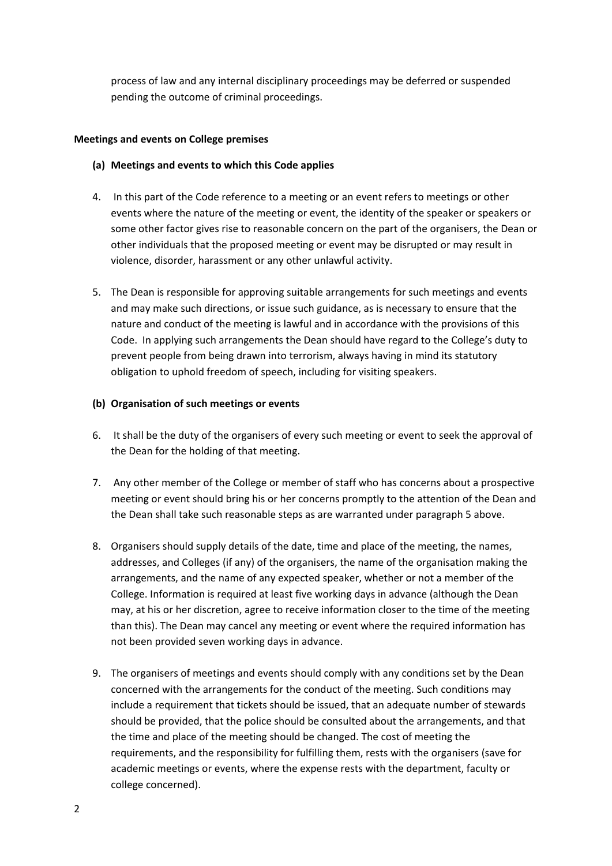process of law and any internal disciplinary proceedings may be deferred or suspended pending the outcome of criminal proceedings.

#### **Meetings and events on College premises**

## **(a) Meetings and events to which this Code applies**

- 4. In this part of the Code reference to a meeting or an event refers to meetings or other events where the nature of the meeting or event, the identity of the speaker or speakers or some other factor gives rise to reasonable concern on the part of the organisers, the Dean or other individuals that the proposed meeting or event may be disrupted or may result in violence, disorder, harassment or any other unlawful activity.
- 5. The Dean is responsible for approving suitable arrangements for such meetings and events and may make such directions, or issue such guidance, as is necessary to ensure that the nature and conduct of the meeting is lawful and in accordance with the provisions of this Code. In applying such arrangements the Dean should have regard to the College's duty to prevent people from being drawn into terrorism, always having in mind its statutory obligation to uphold freedom of speech, including for visiting speakers.

## **(b) Organisation of such meetings or events**

- 6. It shall be the duty of the organisers of every such meeting or event to seek the approval of the Dean for the holding of that meeting.
- 7. Any other member of the College or member of staff who has concerns about a prospective meeting or event should bring his or her concerns promptly to the attention of the Dean and the Dean shall take such reasonable steps as are warranted under paragraph 5 above.
- 8. Organisers should supply details of the date, time and place of the meeting, the names, addresses, and Colleges (if any) of the organisers, the name of the organisation making the arrangements, and the name of any expected speaker, whether or not a member of the College. Information is required at least five working days in advance (although the Dean may, at his or her discretion, agree to receive information closer to the time of the meeting than this). The Dean may cancel any meeting or event where the required information has not been provided seven working days in advance.
- 9. The organisers of meetings and events should comply with any conditions set by the Dean concerned with the arrangements for the conduct of the meeting. Such conditions may include a requirement that tickets should be issued, that an adequate number of stewards should be provided, that the police should be consulted about the arrangements, and that the time and place of the meeting should be changed. The cost of meeting the requirements, and the responsibility for fulfilling them, rests with the organisers (save for academic meetings or events, where the expense rests with the department, faculty or college concerned).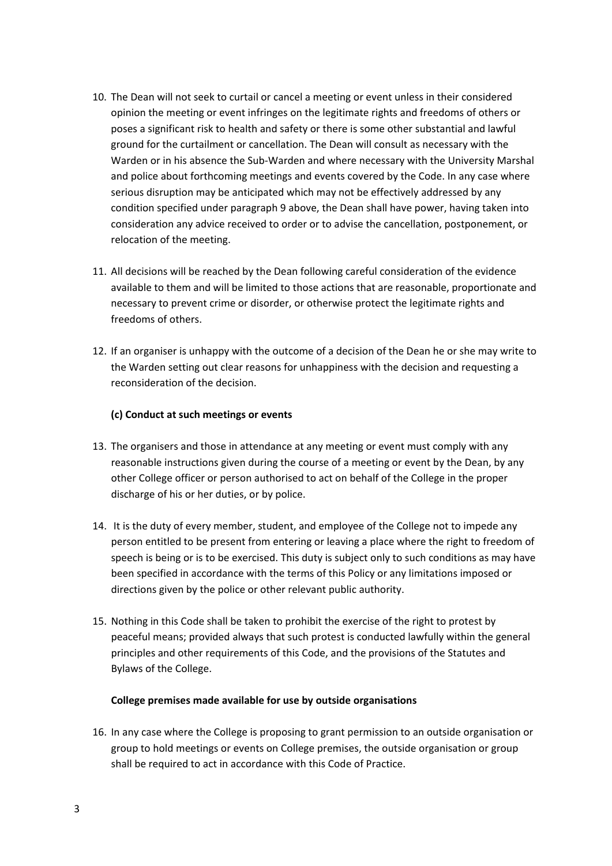- 10. The Dean will not seek to curtail or cancel a meeting or event unless in their considered opinion the meeting or event infringes on the legitimate rights and freedoms of others or poses a significant risk to health and safety or there is some other substantial and lawful ground for the curtailment or cancellation. The Dean will consult as necessary with the Warden or in his absence the Sub-Warden and where necessary with the University Marshal and police about forthcoming meetings and events covered by the Code. In any case where serious disruption may be anticipated which may not be effectively addressed by any condition specified under paragraph 9 above, the Dean shall have power, having taken into consideration any advice received to order or to advise the cancellation, postponement, or relocation of the meeting.
- 11. All decisions will be reached by the Dean following careful consideration of the evidence available to them and will be limited to those actions that are reasonable, proportionate and necessary to prevent crime or disorder, or otherwise protect the legitimate rights and freedoms of others.
- 12. If an organiser is unhappy with the outcome of a decision of the Dean he or she may write to the Warden setting out clear reasons for unhappiness with the decision and requesting a reconsideration of the decision.

## **(c) Conduct at such meetings or events**

- 13. The organisers and those in attendance at any meeting or event must comply with any reasonable instructions given during the course of a meeting or event by the Dean, by any other College officer or person authorised to act on behalf of the College in the proper discharge of his or her duties, or by police.
- 14. It is the duty of every member, student, and employee of the College not to impede any person entitled to be present from entering or leaving a place where the right to freedom of speech is being or is to be exercised. This duty is subject only to such conditions as may have been specified in accordance with the terms of this Policy or any limitations imposed or directions given by the police or other relevant public authority.
- 15. Nothing in this Code shall be taken to prohibit the exercise of the right to protest by peaceful means; provided always that such protest is conducted lawfully within the general principles and other requirements of this Code, and the provisions of the Statutes and Bylaws of the College.

#### **College premises made available for use by outside organisations**

16. In any case where the College is proposing to grant permission to an outside organisation or group to hold meetings or events on College premises, the outside organisation or group shall be required to act in accordance with this Code of Practice.